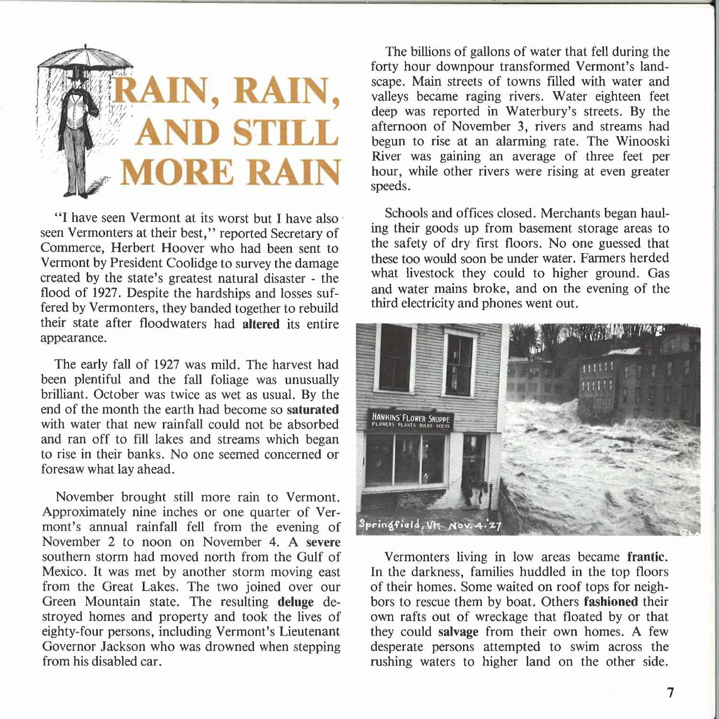

"I have seen Vermont at its worst but I have also· seen Vermonters at their best," reported Secretary of Commerce, Herbert Hoover who had been sent to Vermont by President Coolidge to survey the damage created by the state's greatest natural disaster - the flood of 1927. Despite the hardships and losses suffered by Vermonters, they banded together to rebuild their state after floodwaters had **altered** its entire appearance.

The early fall of 1927 was mild. The harvest had been plentiful and the fall foliage was unusually brilliant. October was twice as wet as usual. By the end of the month the earth had become so **saturated**  with water that new rainfall could not be absorbed and ran off to fill lakes and streams which began to rise in their banks. No one seemed concerned or foresaw what lay ahead.

November brought still more rain to Vermont. Approximately nine inches or one quarter of Vermont's annual rainfall fell from the evening of November 2 to noon on November 4. A **severe**  southern storm had moved north from the Gulf of Mexico. It was met by another storm moving east from the Great Lakes. The two joined over our Green Mountain state. The resulting **deluge** destroyed homes and property and took the lives of eighty-four persons, including Vermont's Lieutenant Governor Jackson who was drowned when stepping from his disabled car.

The billions of gallons of water that fell during the forty hour downpour transformed Vermont's landscape. Main streets of towns filled with water and valleys became raging rivers. Water eighteen feet deep was reported in Waterbury's streets. By the afternoon of November 3, rivers and streams had begun to rise at an alarming rate. The Winooski River was gaining an average of three feet per hour, while other rivers were rising at even greater speeds.

Schools and offices closed. Merchants began hauling their goods up from basement storage areas to the safety of dry first floors. No one guessed that these too would soon be under water. Farmers herded what livestock they could to higher ground. Gas and water mains broke, and on the evening of the third electricity and phones went out.



Vermonters living in low areas became **frantic.**  In the darkness, families huddled in the top floors of their homes. Some waited on roof tops for neighbors to rescue them by boat. Others **fashioned** their own rafts out of wreckage that floated by or that they could **salvage** from their own homes. A few desperate persons attempted to swim across the rushing waters to higher land on the other side.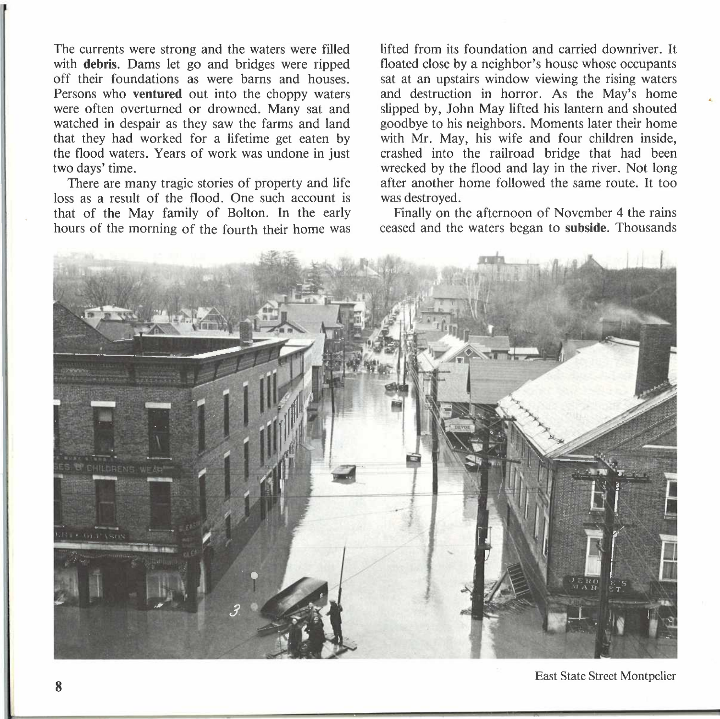The currents were strong and the waters were filled with **debris.** Dams let go and bridges were ripped off their foundations as were barns and houses. Persons who **ventured** out into the choppy waters were often overturned or drowned. Many sat and watched in despair as they saw the farms and land that they had worked for a lifetime get eaten by the flood waters. Years of work was undone in just two days' time.

There are many tragic stories of property and life loss as a result of the flood. One such account is that of the May family of Bolton. In the early hours of the morning of the fourth their home was

lifted from its foundation and carried downriver. It floated close by a neighbor's house whose occupants sat at an upstairs window viewing the rising waters and destruction in horror. As the May's home slipped by, John May lifted his lantern and shouted goodbye to his neighbors. Moments later their home with Mr. May, his wife and four children inside, crashed into the railroad bridge that had been wrecked by the flood and lay in the river. Not long after another home followed the same route. It too was destroyed.

..

Finally on the afternoon of November 4 the rains ceased and the waters began to **subside.** Thousands



East State Street Montpelier